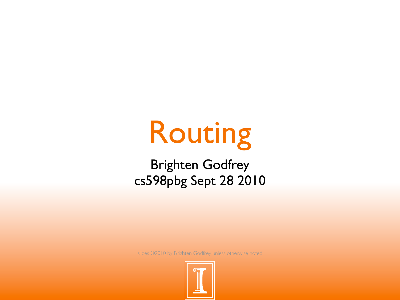# Routing

Brighten Godfrey cs598pbg Sept 28 2010

slides ©2010 by Brighten Godfrey unless otherwise noted

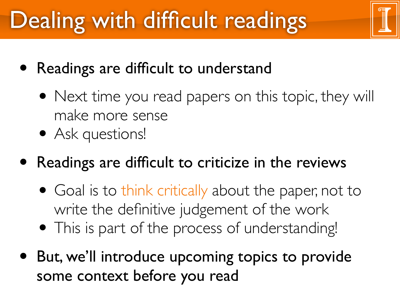# Dealing with difficult readings

- Readings are difficult to understand
	- Next time you read papers on this topic, they will make more sense
	- Ask questions!
- Readings are difficult to criticize in the reviews
	- Goal is to think critically about the paper, not to write the definitive judgement of the work
	- This is part of the process of understanding!
- But, we'll introduce upcoming topics to provide some context before you read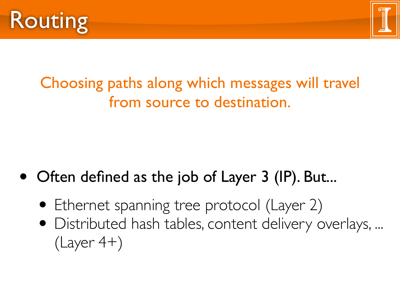



#### Choosing paths along which messages will travel from source to destination.

- Often defined as the job of Layer 3 (IP). But...
	- Ethernet spanning tree protocol (Layer 2)
	- Distributed hash tables, content delivery overlays, ...  $(Layer 4+)$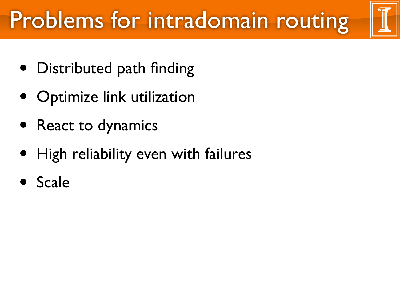# Problems for intradomain routing

- Distributed path finding
- Optimize link utilization
- React to dynamics
- High reliability even with failures
- **Scale**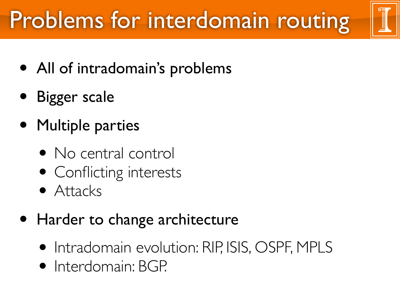# Problems for interdomain routing

- All of intradomain's problems
- Bigger scale
- Multiple parties
	- No central control
	- Conflicting interests
	- Attacks
- Harder to change architecture
	- Intradomain evolution: RIP, ISIS, OSPF, MPLS
	- Interdomain: BGP.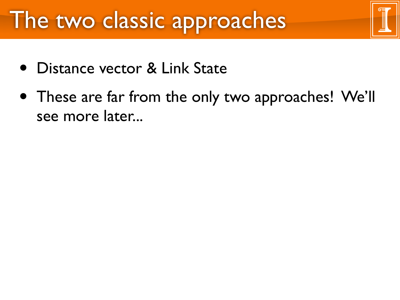#### The two classic approaches

- Distance vector & Link State
- These are far from the only two approaches! We'll see more later...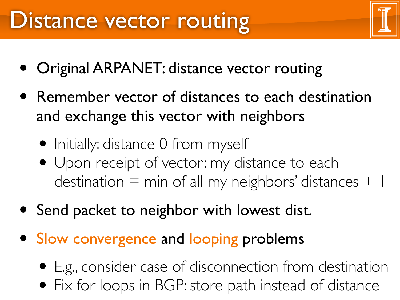- Original ARPANET: distance vector routing
- Remember vector of distances to each destination and exchange this vector with neighbors
	- Initially: distance 0 from myself
	- Upon receipt of vector: my distance to each destination  $=$  min of all my neighbors' distances  $+$  1
- Send packet to neighbor with lowest dist.
- Slow convergence and looping problems
	- E.g., consider case of disconnection from destination
	- Fix for loops in BGP: store path instead of distance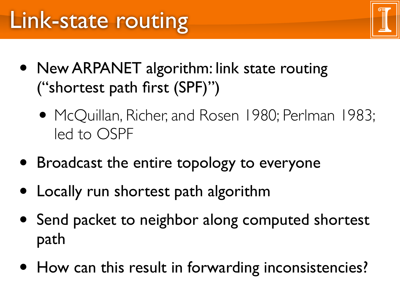- New ARPANET algorithm: link state routing ("shortest path first (SPF)")
	- McQuillan, Richer, and Rosen 1980; Perlman 1983; led to OSPF
- Broadcast the entire topology to everyone
- Locally run shortest path algorithm
- Send packet to neighbor along computed shortest path
- How can this result in forwarding inconsistencies?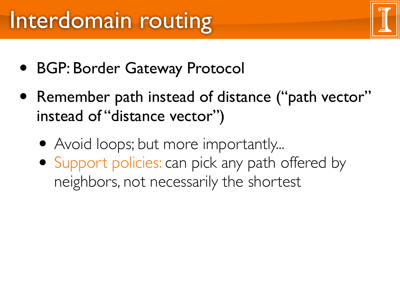### Interdomain routing

- BGP: Border Gateway Protocol
- Remember path instead of distance ("path vector" instead of "distance vector")
	- Avoid loops; but more importantly...
	- Support policies: can pick any path offered by neighbors, not necessarily the shortest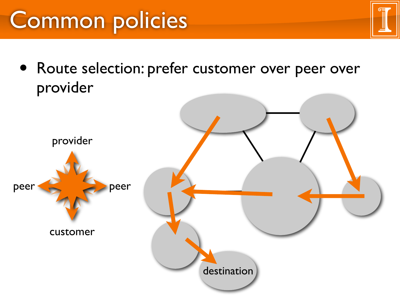### Common policies

• Route selection: prefer customer over peer over provider

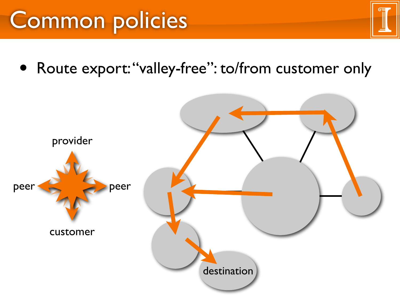### Common policies

• Route export: "valley-free": to/from customer only